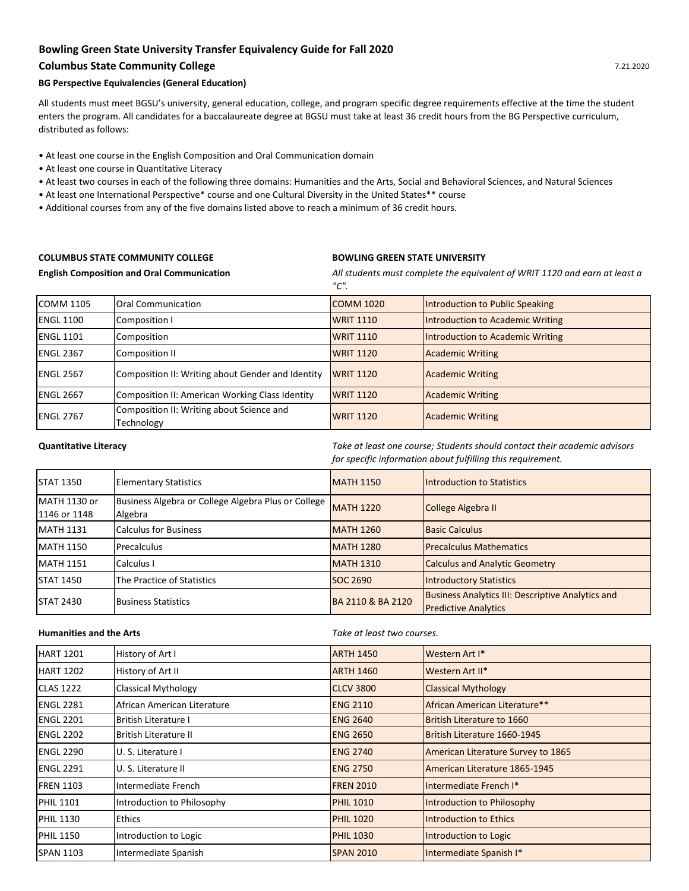# **Bowling Green State University Transfer Equivalency Guide for Fall 2020**

# **Columbus State Community College**

### **BG Perspective Equivalencies (General Education)**

All students must meet BGSU's university, general education, college, and program specific degree requirements effective at the time the student enters the program. All candidates for a baccalaureate degree at BGSU must take at least 36 credit hours from the BG Perspective curriculum, distributed as follows:

- At least one course in the English Composition and Oral Communication domain
- At least one course in Quantitative Literacy
- At least two courses in each of the following three domains: Humanities and the Arts, Social and Behavioral Sciences, and Natural Sciences
- At least one International Perspective\* course and one Cultural Diversity in the United States\*\* course
- Additional courses from any of the five domains listed above to reach a minimum of 36 credit hours.

## **COLUMBUS STATE COMMUNITY COLLEGE BOWLING GREEN STATE UNIVERSITY**

**English Composition and Oral Communication** 

*All students must complete the equivalent of WRIT 1120 and earn at least a "C".*

| COMM 1105        | <b>Oral Communication</b>                               | <b>COMM 1020</b> | Introduction to Public Speaking  |
|------------------|---------------------------------------------------------|------------------|----------------------------------|
| ENGL 1100        | Composition I                                           | <b>WRIT 1110</b> | Introduction to Academic Writing |
| <b>ENGL 1101</b> | Composition                                             | <b>WRIT 1110</b> | Introduction to Academic Writing |
| <b>ENGL 2367</b> | <b>Composition II</b>                                   | <b>WRIT 1120</b> | <b>Academic Writing</b>          |
| <b>ENGL 2567</b> | Composition II: Writing about Gender and Identity       | <b>WRIT 1120</b> | <b>Academic Writing</b>          |
| <b>ENGL 2667</b> | Composition II: American Working Class Identity         | <b>WRIT 1120</b> | <b>Academic Writing</b>          |
| <b>ENGL 2767</b> | Composition II: Writing about Science and<br>Technology | <b>WRIT 1120</b> | <b>Academic Writing</b>          |

**Quantitative Literacy** *Take at least one course; Students should contact their academic advisors for specific information about fulfilling this requirement.*

| <b>STAT 1350</b>             | <b>Elementary Statistics</b>                                   | MATH 1150         | <b>Introduction to Statistics</b>                                                       |
|------------------------------|----------------------------------------------------------------|-------------------|-----------------------------------------------------------------------------------------|
| MATH 1130 or<br>1146 or 1148 | Business Algebra or College Algebra Plus or College<br>Algebra | <b>MATH 1220</b>  | College Algebra II                                                                      |
| <b>MATH 1131</b>             | <b>Calculus for Business</b>                                   | <b>MATH 1260</b>  | <b>Basic Calculus</b>                                                                   |
| MATH 1150                    | Precalculus                                                    | <b>MATH 1280</b>  | <b>Precalculus Mathematics</b>                                                          |
| <b>MATH 1151</b>             | Calculus I                                                     | <b>MATH 1310</b>  | <b>Calculus and Analytic Geometry</b>                                                   |
| <b>STAT 1450</b>             | The Practice of Statistics                                     | <b>SOC 2690</b>   | <b>Introductory Statistics</b>                                                          |
| <b>STAT 2430</b>             | <b>Business Statistics</b>                                     | BA 2110 & BA 2120 | <b>Business Analytics III: Descriptive Analytics and</b><br><b>Predictive Analytics</b> |

**Humanities and the Arts** 

*Take at least two courses.*

| <b>HART 1201</b> | History of Art I             | <b>ARTH 1450</b> | Western Art I*                     |
|------------------|------------------------------|------------------|------------------------------------|
| <b>HART 1202</b> | History of Art II            | <b>ARTH 1460</b> | Western Art II*                    |
| <b>CLAS 1222</b> | <b>Classical Mythology</b>   | <b>CLCV 3800</b> | <b>Classical Mythology</b>         |
| <b>ENGL 2281</b> | African American Literature  | <b>ENG 2110</b>  | African American Literature**      |
| <b>ENGL 2201</b> | <b>British Literature I</b>  | <b>ENG 2640</b>  | British Literature to 1660         |
| <b>ENGL 2202</b> | <b>British Literature II</b> | <b>ENG 2650</b>  | British Literature 1660-1945       |
| <b>ENGL 2290</b> | U. S. Literature I           | <b>ENG 2740</b>  | American Literature Survey to 1865 |
| <b>ENGL 2291</b> | U. S. Literature II          | <b>ENG 2750</b>  | American Literature 1865-1945      |
| <b>FREN 1103</b> | Intermediate French          | <b>FREN 2010</b> | Intermediate French I*             |
| <b>PHIL 1101</b> | Introduction to Philosophy   | <b>PHIL 1010</b> | Introduction to Philosophy         |
| <b>PHIL 1130</b> | <b>Ethics</b>                | <b>PHIL 1020</b> | <b>Introduction to Ethics</b>      |
| <b>PHIL 1150</b> | Introduction to Logic        | <b>PHIL 1030</b> | Introduction to Logic              |
| <b>SPAN 1103</b> | Intermediate Spanish         | <b>SPAN 2010</b> | Intermediate Spanish I*            |